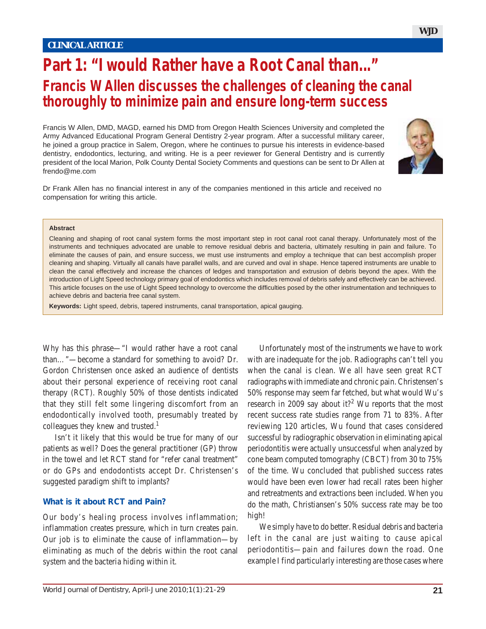# **Part 1: "I would Rather have a Root Canal than..." Francis W Allen discusses the challenges of cleaning the canal thoroughly to minimize pain and ensure long-term success**

Francis W Allen, DMD, MAGD, earned his DMD from Oregon Health Sciences University and completed the Army Advanced Educational Program General Dentistry 2-year program. After a successful military career, he joined a group practice in Salem, Oregon, where he continues to pursue his interests in evidence-based dentistry, endodontics, lecturing, and writing. He is a peer reviewer for General Dentistry and is currently president of the local Marion, Polk County Dental Society Comments and questions can be sent to Dr Allen at frendo@me.com



Dr Frank Allen has no financial interest in any of the companies mentioned in this article and received no compensation for writing this article.

#### **Abstract**

Cleaning and shaping of root canal system forms the most important step in root canal root canal therapy. Unfortunately most of the instruments and techniques advocated are unable to remove residual debris and bacteria, ultimately resulting in pain and failure. To eliminate the causes of pain, and ensure success, we must use instruments and employ a technique that can best accomplish proper cleaning and shaping. Virtually all canals have parallel walls, and are curved and oval in shape. Hence tapered instruments are unable to clean the canal effectively and increase the chances of ledges and transportation and extrusion of debris beyond the apex. With the introduction of Light Speed technology primary goal of endodontics which includes removal of debris safely and effectively can be achieved. This article focuses on the use of Light Speed technology to overcome the difficulties posed by the other instrumentation and techniques to achieve debris and bacteria free canal system.

**Keywords:** Light speed, debris, tapered instruments, canal transportation, apical gauging.

Why has this phrase—"I would rather have a root canal than…"—become a standard for something to avoid? Dr. Gordon Christensen once asked an audience of dentists about their personal experience of receiving root canal therapy (RCT). Roughly 50% of those dentists indicated that they still felt some lingering discomfort from an endodontically involved tooth, presumably treated by colleagues they knew and trusted.<sup>1</sup>

Isn't it likely that this would be true for many of our patients as well? Does the general practitioner (GP) throw in the towel and let RCT stand for "refer canal treatment" or do GPs and endodontists accept Dr. Christensen's suggested paradigm shift to implants?

#### **What is it about RCT and Pain?**

Our body's healing process involves inflammation; inflammation creates pressure, which in turn creates pain. Our job is to eliminate the cause of inflammation—by eliminating as much of the debris within the root canal system and the bacteria hiding within it.

Unfortunately most of the instruments we have to work with are inadequate for the job. Radiographs can't tell you when the canal is clean. We all have seen great RCT radiographs with immediate and chronic pain. Christensen's 50% response may seem far fetched, but what would Wu's research in 2009 say about it?<sup>2</sup> Wu reports that the most recent success rate studies range from 71 to 83%. After reviewing 120 articles, Wu found that cases considered successful by radiographic observation in eliminating apical periodontitis were actually unsuccessful when analyzed by cone beam computed tomography (CBCT) from 30 to 75% of the time. Wu concluded that published success rates would have been even lower had recall rates been higher and retreatments and extractions been included. When you do the math, Christiansen's 50% success rate may be too high!

We simply have to do better. Residual debris and bacteria left in the canal are just waiting to cause apical periodontitis—pain and failures down the road. One example I find particularly interesting are those cases where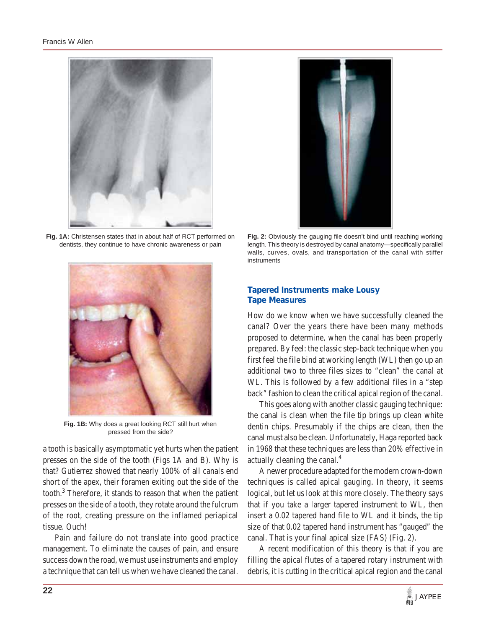

**Fig. 1A:** Christensen states that in about half of RCT performed on dentists, they continue to have chronic awareness or pain



**Fig. 1B:** Why does a great looking RCT still hurt when pressed from the side?

a tooth is basically asymptomatic yet hurts when the patient presses on the side of the tooth (Figs 1A and B). Why is that? Gutierrez showed that nearly 100% of all canals end short of the apex, their foramen exiting out the side of the tooth.<sup>3</sup> Therefore, it stands to reason that when the patient presses on the side of a tooth, they rotate around the fulcrum of the root, creating pressure on the inflamed periapical tissue. Ouch!

Pain and failure do not translate into good practice management. To eliminate the causes of pain, and ensure success down the road, we must use instruments and employ a technique that can tell us when we have cleaned the canal.



**Fig. 2:** Obviously the gauging file doesn't bind until reaching working length. This theory is destroyed by canal anatomy—specifically parallel walls, curves, ovals, and transportation of the canal with stiffer instruments

## **Tapered Instruments make Lousy Tape Measures**

How do we know when we have successfully cleaned the canal? Over the years there have been many methods proposed to determine, when the canal has been properly prepared. By feel: the classic step-back technique when you first feel the file bind at working length (WL) then go up an additional two to three files sizes to "clean" the canal at WL. This is followed by a few additional files in a "step back" fashion to clean the critical apical region of the canal.

This goes along with another classic gauging technique: the canal is clean when the file tip brings up clean white dentin chips. Presumably if the chips are clean, then the canal must also be clean. Unfortunately, Haga reported back in 1968 that these techniques are less than 20% effective in actually cleaning the canal.<sup>4</sup>

A newer procedure adapted for the modern crown-down techniques is called apical gauging. In theory, it seems logical, but let us look at this more closely. The theory says that if you take a larger tapered instrument to WL, then insert a 0.02 tapered hand file to WL and it binds, the tip size of that 0.02 tapered hand instrument has "gauged" the canal. That is your final apical size (FAS) (Fig. 2).

A recent modification of this theory is that if you are filling the apical flutes of a tapered rotary instrument with debris, it is cutting in the critical apical region and the canal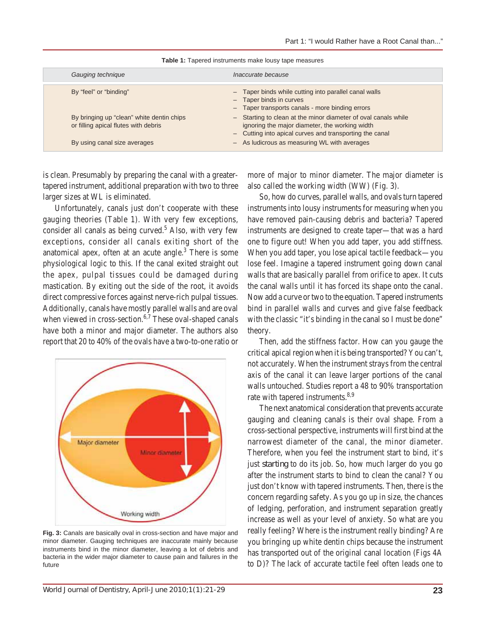| Gauging technique                                                                 | Inaccurate because                                                                                                                                                          |
|-----------------------------------------------------------------------------------|-----------------------------------------------------------------------------------------------------------------------------------------------------------------------------|
| By "feel" or "binding"                                                            | - Taper binds while cutting into parallel canal walls<br>- Taper binds in curves<br>- Taper transports canals - more binding errors                                         |
| By bringing up "clean" white dentin chips<br>or filling apical flutes with debris | - Starting to clean at the minor diameter of oval canals while<br>ignoring the major diameter, the working width<br>- Cutting into apical curves and transporting the canal |
| By using canal size averages                                                      | - As ludicrous as measuring WL with averages                                                                                                                                |

**Table 1:** Tapered instruments make lousy tape measures

is clean. Presumably by preparing the canal with a greatertapered instrument, additional preparation with two to three larger sizes at WL is eliminated.

Unfortunately, canals just don't cooperate with these gauging theories (Table 1). With very few exceptions, consider all canals as being curved.<sup>5</sup> Also, with very few exceptions, consider all canals exiting short of the anatomical apex, often at an acute angle. $3$  There is some physiological logic to this. If the canal exited straight out the apex, pulpal tissues could be damaged during mastication. By exiting out the side of the root, it avoids direct compressive forces against nerve-rich pulpal tissues. Additionally, canals have mostly parallel walls and are oval when viewed in cross-section.<sup>6,7</sup> These oval-shaped canals have both a minor and major diameter. The authors also report that 20 to 40% of the ovals have a two-to-one ratio or



**Fig. 3:** Canals are basically oval in cross-section and have major and minor diameter. Gauging techniques are inaccurate mainly because instruments bind in the minor diameter, leaving a lot of debris and bacteria in the wider major diameter to cause pain and failures in the future

more of major to minor diameter. The major diameter is also called the working width (WW) (Fig. 3).

So, how do curves, parallel walls, and ovals turn tapered instruments into lousy instruments for measuring when you have removed pain-causing debris and bacteria? Tapered instruments are designed to create taper—that was a hard one to figure out! When you add taper, you add stiffness. When you add taper, you lose apical tactile feedback—you lose feel. Imagine a tapered instrument going down canal walls that are basically parallel from orifice to apex. It cuts the canal walls until it has forced its shape onto the canal. Now add a curve or two to the equation. Tapered instruments bind in parallel walls and curves and give false feedback with the classic "it's binding in the canal so I must be done" theory.

Then, add the stiffness factor. How can you gauge the critical apical region when it is being transported? You can't, not accurately. When the instrument strays from the central axis of the canal it can leave larger portions of the canal walls untouched. Studies report a 48 to 90% transportation rate with tapered instruments.<sup>8,9</sup>

The next anatomical consideration that prevents accurate gauging and cleaning canals is their oval shape. From a cross-sectional perspective, instruments will first bind at the narrowest diameter of the canal, the minor diameter. Therefore, when you feel the instrument start to bind, it's just *starting* to do its job. So, how much larger do you go after the instrument starts to bind to clean the canal? You just don't know with tapered instruments. Then, there is the concern regarding safety. As you go up in size, the chances of ledging, perforation, and instrument separation greatly increase as well as your level of anxiety. So what are you really feeling? Where is the instrument really binding? Are you bringing up white dentin chips because the instrument has transported out of the original canal location (Figs 4A to D)? The lack of accurate tactile feel often leads one to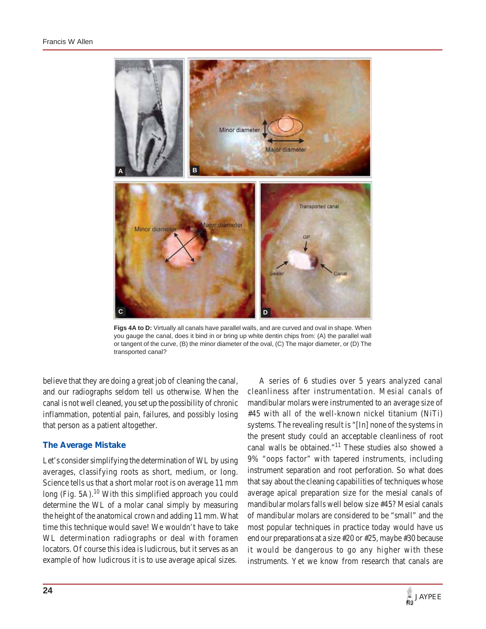

**Figs 4A to D:** Virtually all canals have parallel walls, and are curved and oval in shape. When you gauge the canal, does it bind in or bring up white dentin chips from: (A) the parallel wall or tangent of the curve, (B) the minor diameter of the oval, (C) The major diameter, or (D) The transported canal?

believe that they are doing a great job of cleaning the canal, and our radiographs seldom tell us otherwise. When the canal is not well cleaned, you set up the possibility of chronic inflammation, potential pain, failures, and possibly losing that person as a patient altogether.

## **The Average Mistake**

Let's consider simplifying the determination of WL by using averages, classifying roots as short, medium, or long. Science tells us that a short molar root is on average 11 mm long (Fig. 5A).<sup>10</sup> With this simplified approach you could determine the WL of a molar canal simply by measuring the height of the anatomical crown and adding 11 mm. What time this technique would save! We wouldn't have to take WL determination radiographs or deal with foramen locators. Of course this idea is ludicrous, but it serves as an example of how ludicrous it is to use average apical sizes.

A series of 6 studies over 5 years analyzed canal cleanliness after instrumentation. Mesial canals of mandibular molars were instrumented to an average size of #45 with all of the well-known nickel titanium (NiTi) systems. The revealing result is "[In] none of the systems in the present study could an acceptable cleanliness of root canal walls be obtained."<sup>11</sup> These studies also showed a 9% "oops factor" with tapered instruments, including instrument separation and root perforation. So what does that say about the cleaning capabilities of techniques whose average apical preparation size for the mesial canals of mandibular molars falls well below size #45? Mesial canals of mandibular molars are considered to be "small" and the most popular techniques in practice today would have us end our preparations at a size #20 or #25, maybe #30 because it would be dangerous to go any higher with these instruments. Yet we know from research that canals are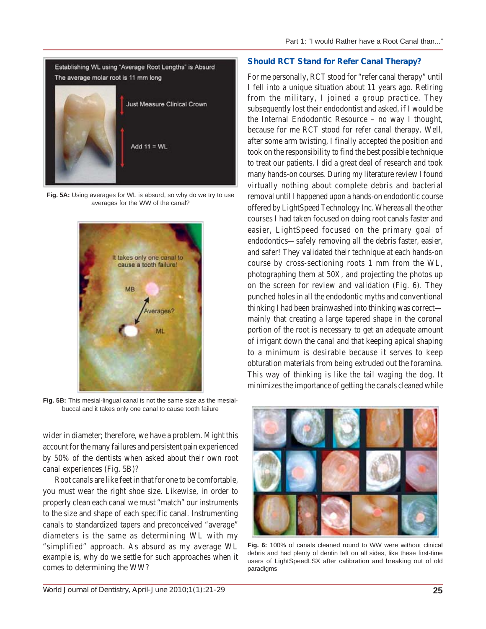

**Fig. 5A:** Using averages for WL is absurd, so why do we try to use averages for the WW of the canal?



**Fig. 5B:** This mesial-lingual canal is not the same size as the mesialbuccal and it takes only one canal to cause tooth failure

wider in diameter; therefore, we have a problem. Might this account for the many failures and persistent pain experienced by 50% of the dentists when asked about their own root canal experiences (Fig. 5B)?

Root canals are like feet in that for one to be comfortable, you must wear the right shoe size. Likewise, in order to properly clean each canal we must "match" our instruments to the size and shape of each specific canal. Instrumenting canals to standardized tapers and preconceived "average" diameters is the same as determining WL with my "simplified" approach. As absurd as my average WL example is, why do we settle for such approaches when it comes to determining the WW?

### **Should RCT Stand for Refer Canal Therapy?**

For me personally, RCT stood for "refer canal therapy" until I fell into a unique situation about 11 years ago. Retiring from the military, I joined a group practice. They subsequently lost their endodontist and asked, if I would be the Internal Endodontic Resource – no way I thought, because for me RCT stood for refer canal therapy. Well, after some arm twisting, I finally accepted the position and took on the responsibility to find the best possible technique to treat our patients. I did a great deal of research and took many hands-on courses. During my literature review I found virtually nothing about complete debris and bacterial removal until I happened upon a hands-on endodontic course offered by LightSpeed Technology Inc. Whereas all the other courses I had taken focused on doing root canals faster and easier, LightSpeed focused on the primary goal of endodontics—safely removing all the debris faster, easier, and safer! They validated their technique at each hands-on course by cross-sectioning roots 1 mm from the WL, photographing them at 50X, and projecting the photos up on the screen for review and validation (Fig. 6). They punched holes in all the endodontic myths and conventional thinking I had been brainwashed into thinking was correct mainly that creating a large tapered shape in the coronal portion of the root is necessary to get an adequate amount of irrigant down the canal and that keeping apical shaping to a minimum is desirable because it serves to keep obturation materials from being extruded out the foramina. This way of thinking is like the tail waging the dog. It minimizes the importance of getting the canals cleaned while



**Fig. 6:** 100% of canals cleaned round to WW were without clinical debris and had plenty of dentin left on all sides, like these first-time users of LightSpeedLSX after calibration and breaking out of old paradigms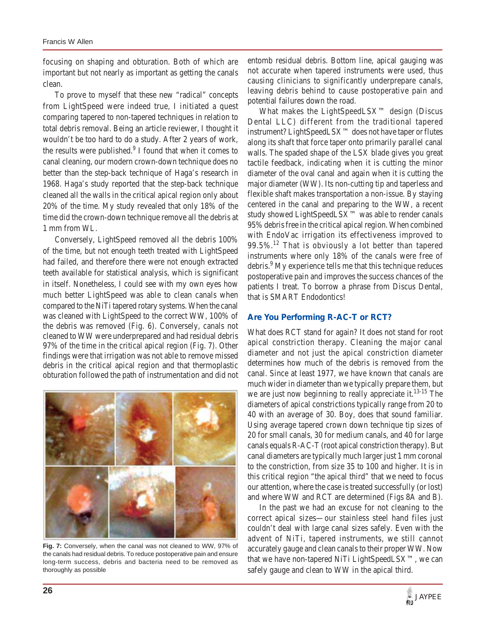focusing on shaping and obturation. Both of which are important but not nearly as important as getting the canals clean.

To prove to myself that these new "radical" concepts from LightSpeed were indeed true, I initiated a quest comparing tapered to non-tapered techniques in relation to total debris removal. Being an article reviewer, I thought it wouldn't be too hard to do a study. After 2 years of work, the results were published.<sup>9</sup> I found that when it comes to canal cleaning, our modern crown-down technique does no better than the step-back technique of Haga's research in 1968. Haga's study reported that the step-back technique cleaned all the walls in the critical apical region only about 20% of the time. My study revealed that only 18% of the time did the crown-down technique remove all the debris at 1 mm from WL.

Conversely, LightSpeed removed all the debris 100% of the time, but not enough teeth treated with LightSpeed had failed, and therefore there were not enough extracted teeth available for statistical analysis, which is significant in itself. Nonetheless, I could see with my own eyes how much better LightSpeed was able to clean canals when compared to the NiTi tapered rotary systems. When the canal was cleaned with LightSpeed to the correct WW, 100% of the debris was removed (Fig. 6). Conversely, canals not cleaned to WW were underprepared and had residual debris 97% of the time in the critical apical region (Fig. 7). Other findings were that irrigation was not able to remove missed debris in the critical apical region and that thermoplastic obturation followed the path of instrumentation and did not



**Fig. 7:** Conversely, when the canal was not cleaned to WW, 97% of the canals had residual debris. To reduce postoperative pain and ensure long-term success, debris and bacteria need to be removed as thoroughly as possible

entomb residual debris. Bottom line, apical gauging was not accurate when tapered instruments were used, thus causing clinicians to significantly underprepare canals, leaving debris behind to cause postoperative pain and potential failures down the road.

What makes the LightSpeedLSX™ design (Discus Dental LLC) different from the traditional tapered instrument? LightSpeedLSX™ does not have taper or flutes along its shaft that force taper onto primarily parallel canal walls. The spaded shape of the LSX blade gives you great tactile feedback, indicating when it is cutting the minor diameter of the oval canal and again when it is cutting the major diameter (WW). Its non-cutting tip and taperless and flexible shaft makes transportation a non-issue. By staying centered in the canal and preparing to the WW, a recent study showed LightSpeedLSX™ was able to render canals 95% debris free in the critical apical region. When combined with EndoVac irrigation its effectiveness improved to  $99.5\%$ <sup>12</sup> That is obviously a lot better than tapered instruments where only 18% of the canals were free of debris.<sup>9</sup> My experience tells me that this technique reduces postoperative pain and improves the success chances of the patients I treat. To borrow a phrase from Discus Dental, that is SMART Endodontics!

#### **Are You Performing R-AC-T or RCT?**

What does RCT stand for again? It does not stand for root apical constriction therapy. Cleaning the major canal diameter and not just the apical constriction diameter determines how much of the debris is removed from the canal. Since at least 1977, we have known that canals are much wider in diameter than we typically prepare them, but we are just now beginning to really appreciate it.<sup>13-15</sup> The diameters of apical constrictions typically range from 20 to 40 with an average of 30. Boy, does that sound familiar. Using average tapered crown down technique tip sizes of 20 for small canals, 30 for medium canals, and 40 for large canals equals R-AC-T (root apical constriction therapy). But canal diameters are typically much larger just 1 mm coronal to the constriction, from size 35 to 100 and higher. It is in this critical region "the apical third" that we need to focus our attention, where the case is treated successfully (or lost) and where WW and RCT are determined (Figs 8A and B).

In the past we had an excuse for not cleaning to the correct apical sizes—our stainless steel hand files just couldn't deal with large canal sizes safely. Even with the advent of NiTi, tapered instruments, we still cannot accurately gauge and clean canals to their proper WW. Now that we have non-tapered NiTi LightSpeedLSX™, we can safely gauge and clean to WW in the apical third.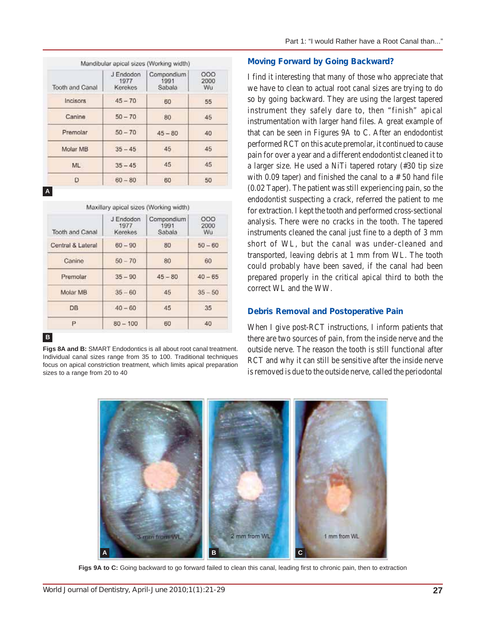| <b>Tooth and Canal</b> | J Endodon<br>1977<br>Kerekes | Compondium<br>1991<br>Sabala | 000<br>2000<br>Wu |
|------------------------|------------------------------|------------------------------|-------------------|
| Incisors               | $45 - 70$                    | 60                           | 55                |
| Canine                 | $50 - 70$                    | 80                           | 45                |
| Premolar               | $50 - 70$                    | $45 - 80$                    | 40                |
| Molar MB               | $35 - 45$                    | 45                           | 45                |
| ML.                    | $35 - 45$                    | 45                           | 45                |
| D                      | $60 - 80$                    | 60                           | 50                |

**A**

| Tooth and Canal   | J Endodon<br>1977<br>Kerekes | Compondium<br>1991<br>Sabala | 000<br>2000<br>Wu |
|-------------------|------------------------------|------------------------------|-------------------|
| Central & Lateral | $60 - 90$                    | 80                           | $50 - 60$         |
| Canine            | $50 - 70$                    | 80                           | 60                |
| Premolar          | $35 - 90$                    | $45 - 80$                    | $40 - 65$         |
| Molar MB          | $35 - 60$                    | 45                           | $35 - 50$         |
| <b>DB</b>         | $40 - 60$                    | 45                           | 35                |
| P.                | $80 - 100$                   | 60                           | 40                |

#### **B**

**Figs 8A and B:** SMART Endodontics is all about root canal treatment. Individual canal sizes range from 35 to 100. Traditional techniques focus on apical constriction treatment, which limits apical preparation sizes to a range from 20 to 40

## **Moving Forward by Going Backward?**

I find it interesting that many of those who appreciate that we have to clean to actual root canal sizes are trying to do so by going backward. They are using the largest tapered instrument they safely dare to, then "finish" apical instrumentation with larger hand files. A great example of that can be seen in Figures 9A to C. After an endodontist performed RCT on this acute premolar, it continued to cause pain for over a year and a different endodontist cleaned it to a larger size. He used a NiTi tapered rotary (#30 tip size with 0.09 taper) and finished the canal to a  $# 50$  hand file (0.02 Taper). The patient was still experiencing pain, so the endodontist suspecting a crack, referred the patient to me for extraction. I kept the tooth and performed cross-sectional analysis. There were no cracks in the tooth. The tapered instruments cleaned the canal just fine to a depth of 3 mm short of WL, but the canal was under-cleaned and transported, leaving debris at 1 mm from WL. The tooth could probably have been saved, if the canal had been prepared properly in the critical apical third to both the correct WL and the WW.

#### **Debris Removal and Postoperative Pain**

When I give post-RCT instructions, I inform patients that there are two sources of pain, from the inside nerve and the outside nerve. The reason the tooth is still functional after RCT and why it can still be sensitive after the inside nerve is removed is due to the outside nerve, called the periodontal



Figs 9A to C: Going backward to go forward failed to clean this canal, leading first to chronic pain, then to extraction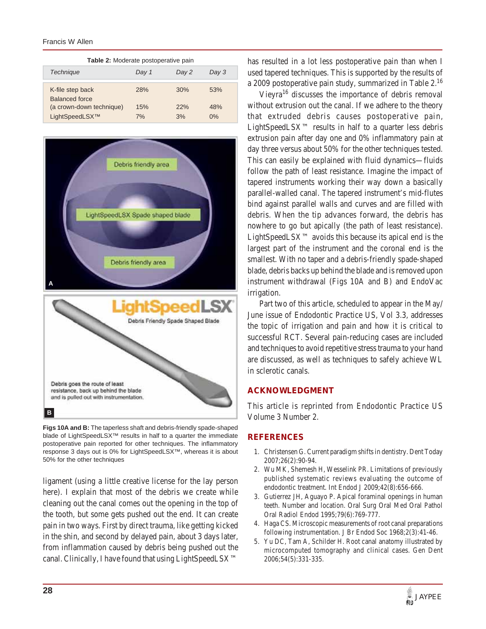#### Francis W Allen

| Table 2: Moderate postoperative pain |       |       |       |  |  |  |
|--------------------------------------|-------|-------|-------|--|--|--|
| Technique                            | Day 1 | Day 2 | Day 3 |  |  |  |
| K-file step back<br>Balanced force   | 28%   | 30%   | 53%   |  |  |  |
| (a crown-down technique)             | 15%   | 22%   | 48%   |  |  |  |
| LightSpeedLSX™                       | 7%    | 3%    | 0%    |  |  |  |



**Figs 10A and B:** The taperless shaft and debris-friendly spade-shaped blade of LightSpeedLSX™ results in half to a quarter the immediate postoperative pain reported for other techniques. The inflammatory response 3 days out is 0% for LightSpeedLSX™, whereas it is about 50% for the other techniques

ligament (using a little creative license for the lay person here). I explain that most of the debris we create while cleaning out the canal comes out the opening in the top of the tooth, but some gets pushed out the end. It can create pain in two ways. First by direct trauma, like getting kicked in the shin, and second by delayed pain, about 3 days later, from inflammation caused by debris being pushed out the canal. Clinically, I have found that using LightSpeedLSX™ has resulted in a lot less postoperative pain than when I used tapered techniques. This is supported by the results of a 2009 postoperative pain study, summarized in Table 2.16

Vieyra<sup>16</sup> discusses the importance of debris removal without extrusion out the canal. If we adhere to the theory that extruded debris causes postoperative pain, LightSpeedLS $X^{TM}$  results in half to a quarter less debris extrusion pain after day one and 0% inflammatory pain at day three versus about 50% for the other techniques tested. This can easily be explained with fluid dynamics—fluids follow the path of least resistance. Imagine the impact of tapered instruments working their way down a basically parallel-walled canal. The tapered instrument's mid-flutes bind against parallel walls and curves and are filled with debris. When the tip advances forward, the debris has nowhere to go but apically (the path of least resistance). LightSpeedLSX™ avoids this because its apical end is the largest part of the instrument and the coronal end is the smallest. With no taper and a debris-friendly spade-shaped blade, debris backs up behind the blade and is removed upon instrument withdrawal (Figs 10A and B) and EndoVac irrigation.

Part two of this article, scheduled to appear in the May/ June issue of Endodontic Practice US, Vol 3.3, addresses the topic of irrigation and pain and how it is critical to successful RCT. Several pain-reducing cases are included and techniques to avoid repetitive stress trauma to your hand are discussed, as well as techniques to safely achieve WL in sclerotic canals.

## **ACKNOWLEDGMENT**

This article is reprinted from Endodontic Practice US Volume 3 Number 2.

#### **REFERENCES**

- 1. Christensen G. Current paradigm shifts in dentistry. Dent Today 2007;26(2):90-94.
- 2. Wu MK, Shemesh H, Wesselink PR. Limitations of previously published systematic reviews evaluating the outcome of endodontic treatment. Int Endod J 2009;42(8):656-666.
- 3. Gutierrez JH, Aguayo P. Apical foraminal openings in human teeth. Number and location. Oral Surg Oral Med Oral Pathol Oral Radiol Endod 1995;79(6):769-777.
- 4. Haga CS. Microscopic measurements of root canal preparations following instrumentation. J Br Endod Soc 1968;2(3):41-46.
- 5. Yu DC, Tam A, Schilder H. Root canal anatomy illustrated by microcomputed tomography and clinical cases. Gen Dent 2006;54(5):331-335.